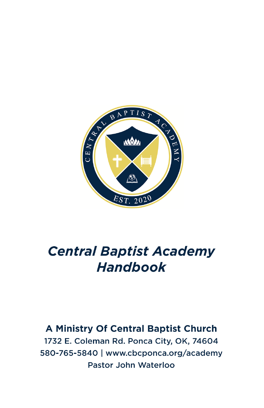

# **Central Baptist Academy Handbook**

## A Ministry Of Central Baptist Church 1732 E. Coleman Rd. Ponca City, OK, 74604 580-765-5840 | www.cbcponca.org/academy Pastor John Waterloo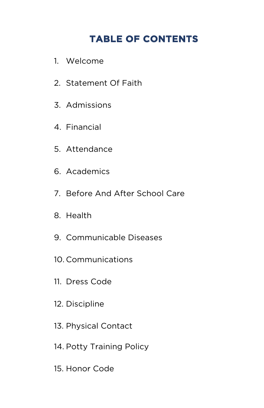## **TABLE OF CONTENTS**

- 1. Welcome
- 2. Statement Of Faith
- 3. Admissions
- 4. Financial
- 5. Attendance
- 6. Academics
- 7. Before And After School Care
- 8. Health
- 9. Communicable Diseases
- 10. Communications
- 11. Dress Code
- 12. Discipline
- 13. Physical Contact
- 14. Potty Training Policy
- 15. Honor Code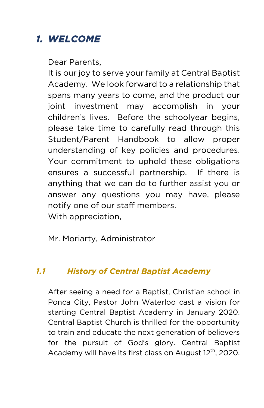## *1. WELCOME*

Dear Parents,

It is our joy to serve your family at Central Baptist Academy. We look forward to a relationship that spans many years to come, and the product our joint investment may accomplish in your children's lives. Before the schoolyear begins, please take time to carefully read through this Student/Parent Handbook to allow proper understanding of key policies and procedures. Your commitment to uphold these obligations ensures a successful partnership. If there is anything that we can do to further assist you or answer any questions you may have, please notify one of our staff members. With appreciation,

Mr. Moriarty, Administrator

#### *1.1 History of Central Baptist Academy*

After seeing a need for a Baptist, Christian school in Ponca City, Pastor John Waterloo cast a vision for starting Central Baptist Academy in January 2020. Central Baptist Church is thrilled for the opportunity to train and educate the next generation of believers for the pursuit of God's glory. Central Baptist Academy will have its first class on August 12<sup>th</sup>, 2020.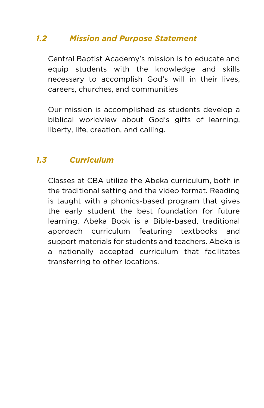#### *1.2 Mission and Purpose Statement*

Central Baptist Academy's mission is to educate and equip students with the knowledge and skills necessary to accomplish God's will in their lives, careers, churches, and communities

Our mission is accomplished as students develop a biblical worldview about God's gifts of learning, liberty, life, creation, and calling.

#### *1.3 Curriculum*

Classes at CBA utilize the Abeka curriculum, both in the traditional setting and the video format. Reading is taught with a phonics-based program that gives the early student the best foundation for future learning. Abeka Book is a Bible-based, traditional approach curriculum featuring textbooks and support materials for students and teachers. Abeka is a nationally accepted curriculum that facilitates transferring to other locations.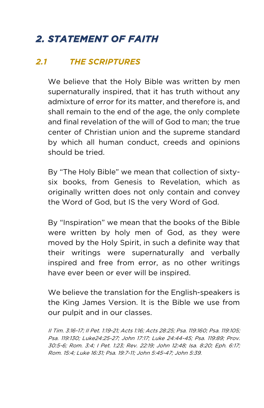## *2. STATEMENT OF FAITH*

#### *2.1 THE SCRIPTURES*

We believe that the Holy Bible was written by men supernaturally inspired, that it has truth without any admixture of error for its matter, and therefore is, and shall remain to the end of the age, the only complete and final revelation of the will of God to man; the true center of Christian union and the supreme standard by which all human conduct, creeds and opinions should be tried.

By "The Holy Bible" we mean that collection of sixtysix books, from Genesis to Revelation, which as originally written does not only contain and convey the Word of God, but IS the very Word of God.

By "Inspiration" we mean that the books of the Bible were written by holy men of God, as they were moved by the Holy Spirit, in such a definite way that their writings were supernaturally and verbally inspired and free from error, as no other writings have ever been or ever will be inspired.

We believe the translation for the English-speakers is the King James Version. It is the Bible we use from our pulpit and in our classes.

II Tim. 3:16-17; II Pet. 1:19-21; Acts 1:16; Acts 28:25; Psa. 119:160; Psa. 119:105; Psa. 119:130; Luke24:25-27; John 17:17; Luke 24:44-45; Psa. 119:89; Prov. 30:5-6; Rom. 3:4; I Pet. 1:23; Rev. 22:19; John 12:48; Isa. 8:20; Eph. 6:17; Rom. 15:4; Luke 16:31; Psa. 19:7-11; John 5:45-47; John 5:39.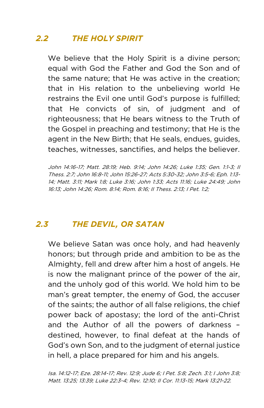### *2.2 THE HOLY SPIRIT*

We believe that the Holy Spirit is a divine person; equal with God the Father and God the Son and of the same nature; that He was active in the creation; that in His relation to the unbelieving world He restrains the Evil one until God's purpose is fulfilled; that He convicts of sin, of judgment and of righteousness; that He bears witness to the Truth of the Gospel in preaching and testimony; that He is the agent in the New Birth; that He seals, endues, guides, teaches, witnesses, sanctifies, and helps the believer.

John 14:16-17; Matt. 28:19; Heb. 9:14; John 14:26; Luke 1:35; Gen. 1:1-3; II Thess. 2:7; John 16:8-11; John 15:26-27; Acts 5:30-32; John 3:5-6; Eph. 1:13- 14; Matt. 3:11; Mark 1:8; Luke 3:16; John 1:33; Acts 11:16; Luke 24:49; John 16:13; John 14:26; Rom. 8:14; Rom. 8:16; II Thess. 2:13; I Pet. 1:2;

#### *2.3 THE DEVIL, OR SATAN*

We believe Satan was once holy, and had heavenly honors; but through pride and ambition to be as the Almighty, fell and drew after him a host of angels. He is now the malignant prince of the power of the air, and the unholy god of this world. We hold him to be man's great tempter, the enemy of God, the accuser of the saints; the author of all false religions, the chief power back of apostasy; the lord of the anti-Christ and the Author of all the powers of darkness – destined, however, to final defeat at the hands of God's own Son, and to the judgment of eternal justice in hell, a place prepared for him and his angels.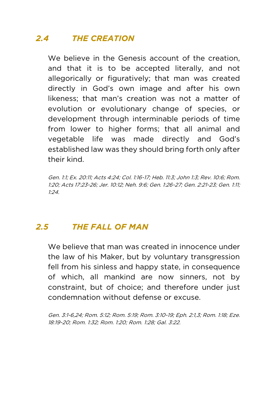## *2.4 THE CREATION*

We believe in the Genesis account of the creation, and that it is to be accepted literally, and not allegorically or figuratively; that man was created directly in God's own image and after his own likeness; that man's creation was not a matter of evolution or evolutionary change of species, or development through interminable periods of time from lower to higher forms; that all animal and vegetable life was made directly and God's established law was they should bring forth only after their kind.

Gen. 1:1; Ex. 20:11; Acts 4:24; Col. 1:16-17; Heb. 11:3; John 1:3; Rev. 10:6; Rom. 1:20; Acts 17:23-26; Jer. 10:12; Neh. 9:6; Gen. 1:26-27; Gen. 2:21-23; Gen. 1:11; 1:24.

#### *2.5 THE FALL OF MAN*

We believe that man was created in innocence under the law of his Maker, but by voluntary transgression fell from his sinless and happy state, in consequence of which, all mankind are now sinners, not by constraint, but of choice; and therefore under just condemnation without defense or excuse.

Gen. 3:1-6,24; Rom. 5:12; Rom. 5:19; Rom. 3:10-19; Eph. 2:1,3; Rom. 1:18; Eze. 18:19-20; Rom. 1:32; Rom. 1:20; Rom. 1:28; Gal. 3:22.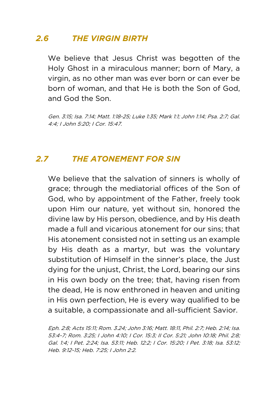#### *2.6 THE VIRGIN BIRTH*

We believe that Jesus Christ was begotten of the Holy Ghost in a miraculous manner; born of Mary, a virgin, as no other man was ever born or can ever be born of woman, and that He is both the Son of God, and God the Son.

Gen. 3:15; Isa. 7:14; Matt. 1:18-25; Luke 1:35; Mark 1:1; John 1:14; Psa. 2:7; Gal. 4:4; I John 5:20; I Cor. 15:47.

#### *2.7 THE ATONEMENT FOR SIN*

We believe that the salvation of sinners is wholly of grace; through the mediatorial offices of the Son of God, who by appointment of the Father, freely took upon Him our nature, yet without sin, honored the divine law by His person, obedience, and by His death made a full and vicarious atonement for our sins; that His atonement consisted not in setting us an example by His death as a martyr, but was the voluntary substitution of Himself in the sinner's place, the Just dying for the unjust, Christ, the Lord, bearing our sins in His own body on the tree; that, having risen from the dead, He is now enthroned in heaven and uniting in His own perfection, He is every way qualified to be a suitable, a compassionate and all-sufficient Savior.

Eph. 2:8; Acts 15:11; Rom. 3.24; John 3:16; Matt. 18:11, Phil. 2:7; Heb. 2:14; Isa. 53:4-7; Rom. 3:25; I John 4:10; I Cor. 15:3; II Cor. 5:21; John 10:18; Phil. 2:8; Gal. 1:4; I Pet. 2:24; Isa. 53:11; Heb. 12:2; I Cor. 15:20; I Pet. 3:18; Isa. 53:12; Heb. 9:12-15; Heb. 7:25; I John 2:2.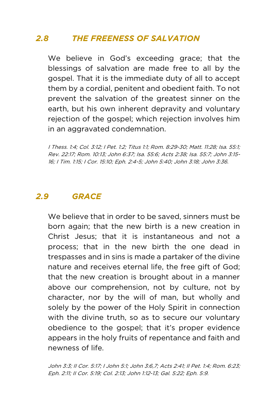### *2.8 THE FREENESS OF SALVATION*

We believe in God's exceeding grace; that the blessings of salvation are made free to all by the gospel. That it is the immediate duty of all to accept them by a cordial, penitent and obedient faith. To not prevent the salvation of the greatest sinner on the earth, but his own inherent depravity and voluntary rejection of the gospel; which rejection involves him in an aggravated condemnation.

I Thess. 1:4; Col. 3:12; I Pet. 1:2; Titus 1:1; Rom. 8:29-30; Matt. 11:28; Isa. 55:1; Rev. 22:17; Rom. 10:13; John 6:37; Isa. 55:6; Acts 2:38; Isa. 55:7; John 3:15- 16; I Tim. 1:15; I Cor. 15:10; Eph. 2:4-5; John 5:40; John 3:18; John 3:36.

#### *2.9 GRACE*

We believe that in order to be saved, sinners must be born again; that the new birth is a new creation in Christ Jesus; that it is instantaneous and not a process; that in the new birth the one dead in trespasses and in sins is made a partaker of the divine nature and receives eternal life, the free gift of God; that the new creation is brought about in a manner above our comprehension, not by culture, not by character, nor by the will of man, but wholly and solely by the power of the Holy Spirit in connection with the divine truth, so as to secure our voluntary obedience to the gospel; that it's proper evidence appears in the holy fruits of repentance and faith and newness of life.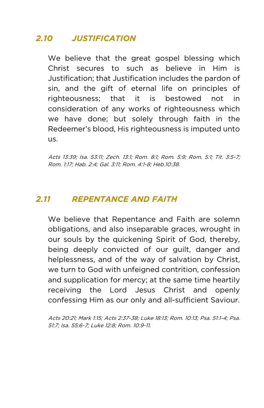### *2.10 JUSTIFICATION*

We believe that the great gospel blessing which Christ secures to such as believe in Him is Justification; that Justification includes the pardon of sin, and the gift of eternal life on principles of righteousness; that it is bestowed not in consideration of any works of righteousness which we have done; but solely through faith in the Redeemer's blood, His righteousness is imputed unto us.

Acts 13:39; Isa. 53:11; Zech. 13:1; Rom. 8:1; Rom. 5:9; Rom. 5:1; Tit. 3:5-7; Rom. 1:17; Hab. 2:4; Gal. 3:11; Rom. 4:1-8; Heb.10:38.

#### *2.11 REPENTANCE AND FAITH*

We believe that Repentance and Faith are solemn obligations, and also inseparable graces, wrought in our souls by the quickening Spirit of God, thereby, being deeply convicted of our guilt, danger and helplessness, and of the way of salvation by Christ, we turn to God with unfeigned contrition, confession and supplication for mercy; at the same time heartily receiving the Lord Jesus Christ and openly confessing Him as our only and all-sufficient Saviour.

Acts 20:21; Mark 1:15; Acts 2:37-38; Luke 18:13; Rom. 10:13; Psa. 51:1-4; Psa. 51:7; Isa. 55:6-7; Luke 12:8; Rom. 10:9-11.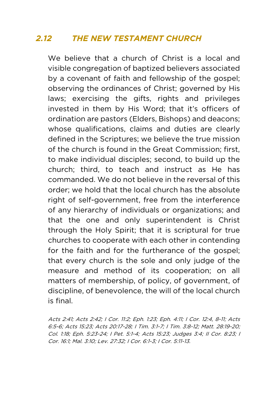#### *2.12 THE NEW TESTAMENT CHURCH*

We believe that a church of Christ is a local and visible congregation of baptized believers associated by a covenant of faith and fellowship of the gospel; observing the ordinances of Christ; governed by His laws; exercising the gifts, rights and privileges invested in them by His Word; that it's officers of ordination are pastors (Elders, Bishops) and deacons; whose qualifications, claims and duties are clearly defined in the Scriptures; we believe the true mission of the church is found in the Great Commission; first, to make individual disciples; second, to build up the church; third, to teach and instruct as He has commanded. We do not believe in the reversal of this order; we hold that the local church has the absolute right of self-government, free from the interference of any hierarchy of individuals or organizations; and that the one and only superintendent is Christ through the Holy Spirit; that it is scriptural for true churches to cooperate with each other in contending for the faith and for the furtherance of the gospel; that every church is the sole and only judge of the measure and method of its cooperation; on all matters of membership, of policy, of government, of discipline, of benevolence, the will of the local church is final.

Acts 2:41; Acts 2:42; I Cor. 11:2; Eph. 1:23; Eph. 4:11; I Cor. 12:4, 8-11; Acts 6:5-6; Acts 15:23; Acts 20:17-28; I Tim. 3:1-7; I Tim. 3:8-12; Matt. 28:19-20; Col. 1:18; Eph. 5:23-24; I Pet. 5:1-4; Acts 15:23; Judges 3:4; II Cor. 8:23; I Cor. 16:1; Mal. 3:10; Lev. 27:32; I Cor. 6:1-3; I Cor. 5:11-13.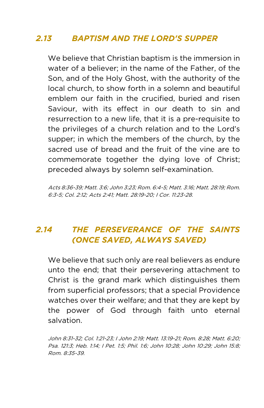### *2.13 BAPTISM AND THE LORD'S SUPPER*

We believe that Christian baptism is the immersion in water of a believer; in the name of the Father, of the Son, and of the Holy Ghost, with the authority of the local church, to show forth in a solemn and beautiful emblem our faith in the crucified, buried and risen Saviour, with its effect in our death to sin and resurrection to a new life, that it is a pre-requisite to the privileges of a church relation and to the Lord's supper; in which the members of the church, by the sacred use of bread and the fruit of the vine are to commemorate together the dying love of Christ; preceded always by solemn self-examination.

Acts 8:36-39; Matt. 3:6; John 3:23; Rom. 6:4-5; Matt. 3:16; Matt. 28:19; Rom. 6:3-5; Col. 2:12; Acts 2:41; Matt. 28:19-20; I Cor. 11:23-28.

## *2.14 THE PERSEVERANCE OF THE SAINTS (ONCE SAVED, ALWAYS SAVED)*

We believe that such only are real believers as endure unto the end; that their persevering attachment to Christ is the grand mark which distinguishes them from superficial professors; that a special Providence watches over their welfare; and that they are kept by the power of God through faith unto eternal salvation.

John 8:31-32; Col. 1:21-23; I John 2:19; Matt. 13:19-21; Rom. 8:28; Matt. 6:20; Psa. 121:3; Heb. 1:14; I Pet. 1:5; Phil. 1:6; John 10:28; John 10:29; John 15:8; Rom. 8:35-39.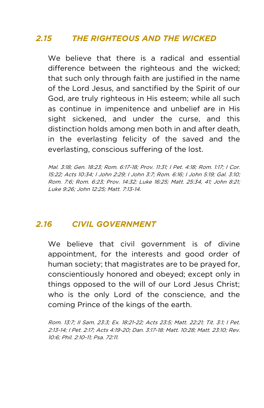### *2.15 THE RIGHTEOUS AND THE WICKED*

We believe that there is a radical and essential difference between the righteous and the wicked; that such only through faith are justified in the name of the Lord Jesus, and sanctified by the Spirit of our God, are truly righteous in His esteem; while all such as continue in impenitence and unbelief are in His sight sickened, and under the curse, and this distinction holds among men both in and after death, in the everlasting felicity of the saved and the everlasting, conscious suffering of the lost.

Mal. 3:18; Gen. 18:23; Rom. 6:17-18; Prov. 11:31; I Pet. 4:18; Rom. 1:17; I Cor. 15:22; Acts 10:34; I John 2:29; I John 3:7; Rom. 6:16; I John 5:19; Gal. 3:10; Rom. 7:6; Rom. 6:23; Prov. 14:32; Luke 16:25; Matt. 25:34, 41; John 8:21; Luke 9:26; John 12:25; Matt. 7:13-14.

#### *2.16 CIVIL GOVERNMENT*

We believe that civil government is of divine appointment, for the interests and good order of human society; that magistrates are to be prayed for, conscientiously honored and obeyed; except only in things opposed to the will of our Lord Jesus Christ; who is the only Lord of the conscience, and the coming Prince of the kings of the earth.

Rom. 13:7; II Sam. 23:3; Ex. 18:21-22; Acts 23:5; Matt. 22:21; Tit. 3:1; I Pet. 2:13-14; I Pet. 2:17; Acts 4:19-20; Dan. 3:17-18: Matt. 10:28; Matt. 23:10; Rev. 10:6; Phil. 2:10-11; Psa. 72:11.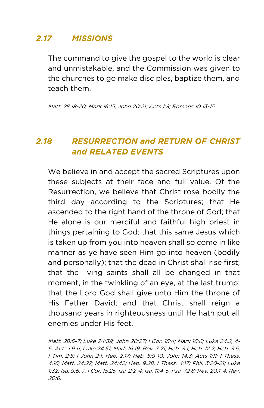### *2.17 MISSIONS*

The command to give the gospel to the world is clear and unmistakable, and the Commission was given to the churches to go make disciples, baptize them, and teach them.

Matt. 28:18-20; Mark 16:15; John 20:21; Acts 1:8; Romans 10:13-15

### *2.18 RESURRECTION and RETURN OF CHRIST and RELATED EVENTS*

We believe in and accept the sacred Scriptures upon these subjects at their face and full value. Of the Resurrection, we believe that Christ rose bodily the third day according to the Scriptures; that He ascended to the right hand of the throne of God; that He alone is our merciful and faithful high priest in things pertaining to God; that this same Jesus which is taken up from you into heaven shall so come in like manner as ye have seen Him go into heaven (bodily and personally); that the dead in Christ shall rise first; that the living saints shall all be changed in that moment, in the twinkling of an eye, at the last trump; that the Lord God shall give unto Him the throne of His Father David; and that Christ shall reign a thousand years in righteousness until He hath put all enemies under His feet.

Matt. 28:6-7; Luke 24:39; John 20:27; I Cor. 15:4; Mark 16:6; Luke 24:2, 4- 6; Acts 1:9,11; Luke 24:51; Mark 16:19; Rev. 3:21; Heb. 8:1; Heb. 12:2; Heb. 8:6; I Tim. 2:5; I John 2:1; Heb. 2:17; Heb. 5:9-10; John 14:3; Acts 1:11; I Thess. 4:16; Matt. 24:27; Matt. 24:42; Heb. 9:28; I Thess. 4:17; Phil. 3:20-21; Luke 1:32; Isa. 9:6, 7; I Cor. 15:25; Isa. 2:2-4; Isa. 11:4-5; Psa. 72:8; Rev. 20:1-4; Rev. 20:6.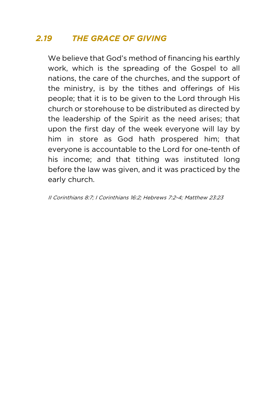### *2.19 THE GRACE OF GIVING*

We believe that God's method of financing his earthly work, which is the spreading of the Gospel to all nations, the care of the churches, and the support of the ministry, is by the tithes and offerings of His people; that it is to be given to the Lord through His church or storehouse to be distributed as directed by the leadership of the Spirit as the need arises; that upon the first day of the week everyone will lay by him in store as God hath prospered him; that everyone is accountable to the Lord for one-tenth of his income; and that tithing was instituted long before the law was given, and it was practiced by the early church.

II Corinthians 8:7; I Corinthians 16:2; Hebrews 7:2-4; Matthew 23:23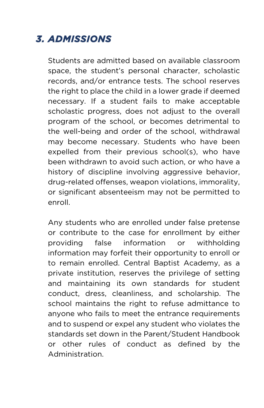## *3. ADMISSIONS*

Students are admitted based on available classroom space, the student's personal character, scholastic records, and/or entrance tests. The school reserves the right to place the child in a lower grade if deemed necessary. If a student fails to make acceptable scholastic progress, does not adjust to the overall program of the school, or becomes detrimental to the well-being and order of the school, withdrawal may become necessary. Students who have been expelled from their previous school(s), who have been withdrawn to avoid such action, or who have a history of discipline involving aggressive behavior, drug-related offenses, weapon violations, immorality, or significant absenteeism may not be permitted to enroll.

Any students who are enrolled under false pretense or contribute to the case for enrollment by either providing false information or withholding information may forfeit their opportunity to enroll or to remain enrolled. Central Baptist Academy, as a private institution, reserves the privilege of setting and maintaining its own standards for student conduct, dress, cleanliness, and scholarship. The school maintains the right to refuse admittance to anyone who fails to meet the entrance requirements and to suspend or expel any student who violates the standards set down in the Parent/Student Handbook or other rules of conduct as defined by the Administration.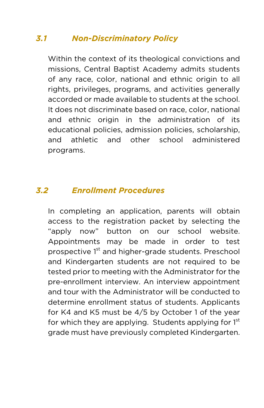### *3.1 Non-Discriminatory Policy*

Within the context of its theological convictions and missions, Central Baptist Academy admits students of any race, color, national and ethnic origin to all rights, privileges, programs, and activities generally accorded or made available to students at the school. It does not discriminate based on race, color, national and ethnic origin in the administration of its educational policies, admission policies, scholarship, and athletic and other school administered programs.

#### *3.2 Enrollment Procedures*

In completing an application, parents will obtain access to the registration packet by selecting the "apply now" button on our school website. Appointments may be made in order to test prospective 1<sup>st</sup> and higher-grade students. Preschool and Kindergarten students are not required to be tested prior to meeting with the Administrator for the pre-enrollment interview. An interview appointment and tour with the Administrator will be conducted to determine enrollment status of students. Applicants for K4 and K5 must be 4/5 by October 1 of the year for which they are applying. Students applying for  $1<sup>st</sup>$ grade must have previously completed Kindergarten.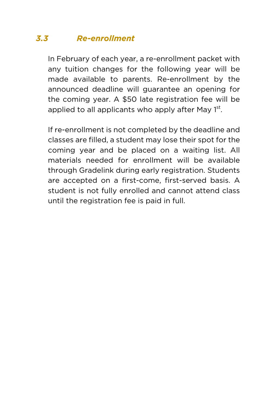### *3.3 Re-enrollment*

In February of each year, a re-enrollment packet with any tuition changes for the following year will be made available to parents. Re-enrollment by the announced deadline will guarantee an opening for the coming year. A \$50 late registration fee will be applied to all applicants who apply after May  $1<sup>st</sup>$ .

If re-enrollment is not completed by the deadline and classes are filled, a student may lose their spot for the coming year and be placed on a waiting list. All materials needed for enrollment will be available through Gradelink during early registration. Students are accepted on a first-come, first-served basis. A student is not fully enrolled and cannot attend class until the registration fee is paid in full.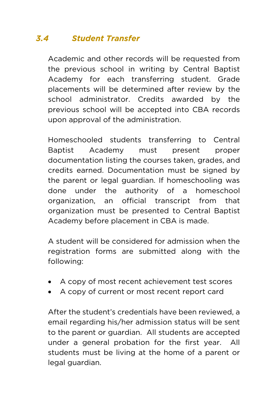## *3.4 Student Transfer*

Academic and other records will be requested from the previous school in writing by Central Baptist Academy for each transferring student. Grade placements will be determined after review by the school administrator. Credits awarded by the previous school will be accepted into CBA records upon approval of the administration.

Homeschooled students transferring to Central Baptist Academy must present proper documentation listing the courses taken, grades, and credits earned. Documentation must be signed by the parent or legal guardian. If homeschooling was done under the authority of a homeschool organization, an official transcript from that organization must be presented to Central Baptist Academy before placement in CBA is made.

A student will be considered for admission when the registration forms are submitted along with the following:

- A copy of most recent achievement test scores
- A copy of current or most recent report card

After the student's credentials have been reviewed, a email regarding his/her admission status will be sent to the parent or guardian. All students are accepted under a general probation for the first year. All students must be living at the home of a parent or legal guardian.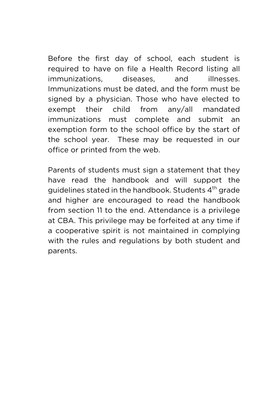Before the first day of school, each student is required to have on file a Health Record listing all immunizations, diseases, and illnesses. Immunizations must be dated, and the form must be signed by a physician. Those who have elected to exempt their child from any/all mandated immunizations must complete and submit an exemption form to the school office by the start of the school year. These may be requested in our office or printed from the web.

Parents of students must sign a statement that they have read the handbook and will support the guidelines stated in the handbook. Students 4<sup>th</sup> grade and higher are encouraged to read the handbook from section 11 to the end. Attendance is a privilege at CBA. This privilege may be forfeited at any time if a cooperative spirit is not maintained in complying with the rules and regulations by both student and parents.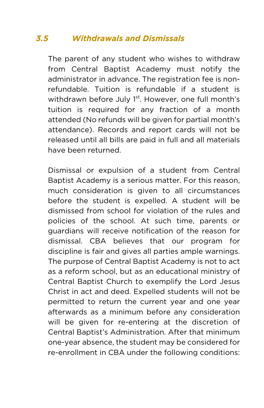## *3.5 Withdrawals and Dismissals*

The parent of any student who wishes to withdraw from Central Baptist Academy must notify the administrator in advance. The registration fee is nonrefundable. Tuition is refundable if a student is withdrawn before July 1<sup>st</sup>. However, one full month's tuition is required for any fraction of a month attended (No refunds will be given for partial month's attendance). Records and report cards will not be released until all bills are paid in full and all materials have been returned.

Dismissal or expulsion of a student from Central Baptist Academy is a serious matter. For this reason, much consideration is given to all circumstances before the student is expelled. A student will be dismissed from school for violation of the rules and policies of the school. At such time, parents or guardians will receive notification of the reason for dismissal. CBA believes that our program for discipline is fair and gives all parties ample warnings. The purpose of Central Baptist Academy is not to act as a reform school, but as an educational ministry of Central Baptist Church to exemplify the Lord Jesus Christ in act and deed. Expelled students will not be permitted to return the current year and one year afterwards as a minimum before any consideration will be given for re-entering at the discretion of Central Baptist's Administration. After that minimum one-year absence, the student may be considered for re-enrollment in CBA under the following conditions: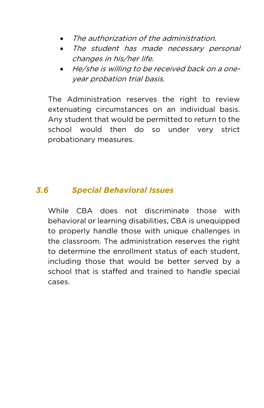- The authorization of the administration.
- The student has made necessary personal changes in his/her life.
- He/she is willing to be received back on a oneyear probation trial basis.

The Administration reserves the right to review extenuating circumstances on an individual basis. Any student that would be permitted to return to the school would then do so under very strict probationary measures.

#### *3.6 Special Behavioral Issues*

While CBA does not discriminate those with behavioral or learning disabilities, CBA is unequipped to properly handle those with unique challenges in the classroom. The administration reserves the right to determine the enrollment status of each student, including those that would be better served by a school that is staffed and trained to handle special cases.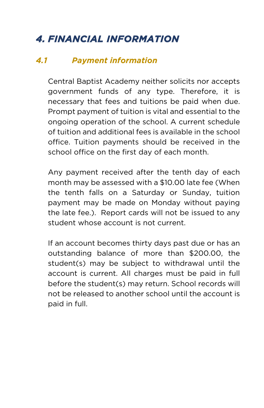## *4. FINANCIAL INFORMATION*

#### *4.1 Payment information*

Central Baptist Academy neither solicits nor accepts government funds of any type. Therefore, it is necessary that fees and tuitions be paid when due. Prompt payment of tuition is vital and essential to the ongoing operation of the school. A current schedule of tuition and additional fees is available in the school office. Tuition payments should be received in the school office on the first day of each month.

Any payment received after the tenth day of each month may be assessed with a \$10.00 late fee (When the tenth falls on a Saturday or Sunday, tuition payment may be made on Monday without paying the late fee.). Report cards will not be issued to any student whose account is not current.

If an account becomes thirty days past due or has an outstanding balance of more than \$200.00, the student(s) may be subject to withdrawal until the account is current. All charges must be paid in full before the student(s) may return. School records will not be released to another school until the account is paid in full.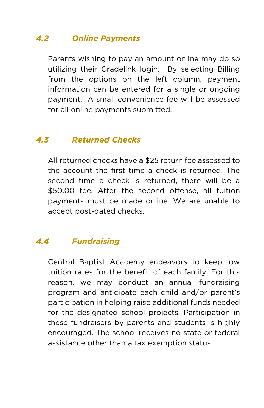## *4.2 Online Payments*

Parents wishing to pay an amount online may do so utilizing their Gradelink login. By selecting Billing from the options on the left column, payment information can be entered for a single or ongoing payment. A small convenience fee will be assessed for all online payments submitted.

#### *4.3 Returned Checks*

All returned checks have a \$25 return fee assessed to the account the first time a check is returned. The second time a check is returned, there will be a \$50.00 fee. After the second offense, all tuition payments must be made online. We are unable to accept post-dated checks.

#### *4.4 Fundraising*

Central Baptist Academy endeavors to keep low tuition rates for the benefit of each family. For this reason, we may conduct an annual fundraising program and anticipate each child and/or parent's participation in helping raise additional funds needed for the designated school projects. Participation in these fundraisers by parents and students is highly encouraged. The school receives no state or federal assistance other than a tax exemption status.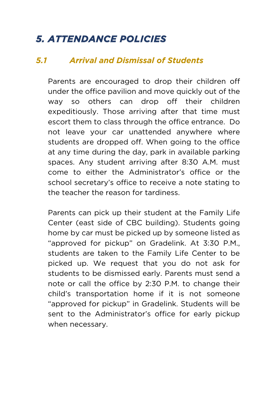## *5. ATTENDANCE POLICIES*

#### *5.1 Arrival and Dismissal of Students*

Parents are encouraged to drop their children off under the office pavilion and move quickly out of the way so others can drop off their children expeditiously. Those arriving after that time must escort them to class through the office entrance. Do not leave your car unattended anywhere where students are dropped off. When going to the office at any time during the day, park in available parking spaces. Any student arriving after 8:30 A.M. must come to either the Administrator's office or the school secretary's office to receive a note stating to the teacher the reason for tardiness.

Parents can pick up their student at the Family Life Center (east side of CBC building). Students going home by car must be picked up by someone listed as "approved for pickup" on Gradelink. At 3:30 P.M., students are taken to the Family Life Center to be picked up. We request that you do not ask for students to be dismissed early. Parents must send a note or call the office by 2:30 P.M. to change their child's transportation home if it is not someone "approved for pickup" in Gradelink. Students will be sent to the Administrator's office for early pickup when necessary.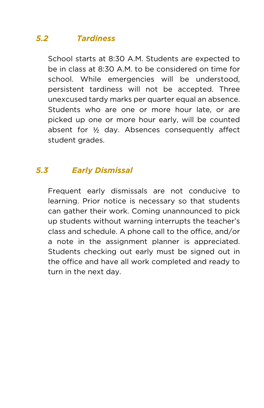### *5.2 Tardiness*

School starts at 8:30 A.M. Students are expected to be in class at 8:30 A.M. to be considered on time for school. While emergencies will be understood, persistent tardiness will not be accepted. Three unexcused tardy marks per quarter equal an absence. Students who are one or more hour late, or are picked up one or more hour early, will be counted absent for ½ day. Absences consequently affect student grades.

### *5.3 Early Dismissal*

Frequent early dismissals are not conducive to learning. Prior notice is necessary so that students can gather their work. Coming unannounced to pick up students without warning interrupts the teacher's class and schedule. A phone call to the office, and/or a note in the assignment planner is appreciated. Students checking out early must be signed out in the office and have all work completed and ready to turn in the next day.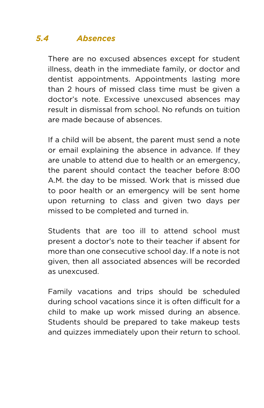### *5.4 Absences*

There are no excused absences except for student illness, death in the immediate family, or doctor and dentist appointments. Appointments lasting more than 2 hours of missed class time must be given a doctor's note. Excessive unexcused absences may result in dismissal from school. No refunds on tuition are made because of absences.

If a child will be absent, the parent must send a note or email explaining the absence in advance. If they are unable to attend due to health or an emergency, the parent should contact the teacher before 8:00 A.M. the day to be missed. Work that is missed due to poor health or an emergency will be sent home upon returning to class and given two days per missed to be completed and turned in.

Students that are too ill to attend school must present a doctor's note to their teacher if absent for more than one consecutive school day. If a note is not given, then all associated absences will be recorded as unexcused.

Family vacations and trips should be scheduled during school vacations since it is often difficult for a child to make up work missed during an absence. Students should be prepared to take makeup tests and quizzes immediately upon their return to school.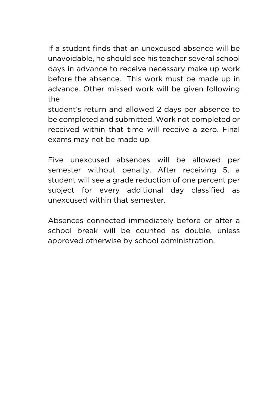If a student finds that an unexcused absence will be unavoidable, he should see his teacher several school days in advance to receive necessary make up work before the absence. This work must be made up in advance. Other missed work will be given following the

student's return and allowed 2 days per absence to be completed and submitted. Work not completed or received within that time will receive a zero. Final exams may not be made up.

Five unexcused absences will be allowed per semester without penalty. After receiving 5, a student will see a grade reduction of one percent per subject for every additional day classified as unexcused within that semester.

Absences connected immediately before or after a school break will be counted as double, unless approved otherwise by school administration.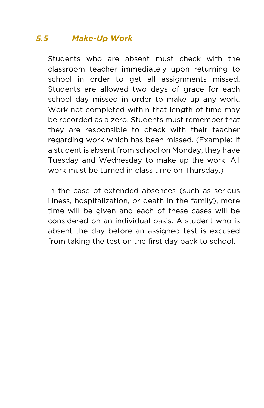### *5.5 Make-Up Work*

Students who are absent must check with the classroom teacher immediately upon returning to school in order to get all assignments missed. Students are allowed two days of grace for each school day missed in order to make up any work. Work not completed within that length of time may be recorded as a zero. Students must remember that they are responsible to check with their teacher regarding work which has been missed. (Example: If a student is absent from school on Monday, they have Tuesday and Wednesday to make up the work. All work must be turned in class time on Thursday.)

In the case of extended absences (such as serious illness, hospitalization, or death in the family), more time will be given and each of these cases will be considered on an individual basis. A student who is absent the day before an assigned test is excused from taking the test on the first day back to school.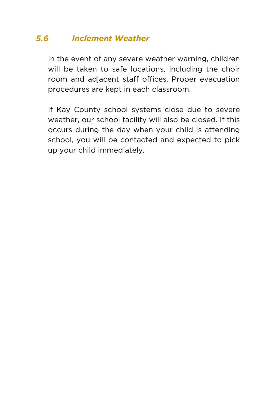### *5.6 Inclement Weather*

In the event of any severe weather warning, children will be taken to safe locations, including the choir room and adjacent staff offices. Proper evacuation procedures are kept in each classroom.

If Kay County school systems close due to severe weather, our school facility will also be closed. If this occurs during the day when your child is attending school, you will be contacted and expected to pick up your child immediately.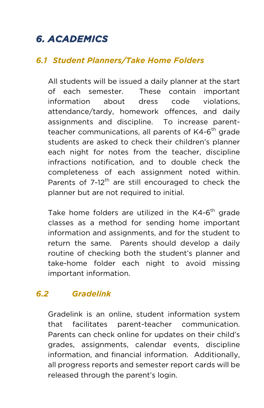## *6. ACADEMICS*

#### *6.1 Student Planners/Take Home Folders*

All students will be issued a daily planner at the start of each semester. These contain important information about dress code violations, attendance/tardy, homework offences, and daily assignments and discipline. To increase parentteacher communications, all parents of K4-6<sup>th</sup> grade students are asked to check their children's planner each night for notes from the teacher, discipline infractions notification, and to double check the completeness of each assignment noted within. Parents of  $7-12^{th}$  are still encouraged to check the planner but are not required to initial.

Take home folders are utilized in the K4-6<sup>th</sup> grade classes as a method for sending home important information and assignments, and for the student to return the same. Parents should develop a daily routine of checking both the student's planner and take-home folder each night to avoid missing important information.

#### *6.2 Gradelink*

Gradelink is an online, student information system that facilitates parent-teacher communication. Parents can check online for updates on their child's grades, assignments, calendar events, discipline information, and financial information. Additionally, all progress reports and semester report cards will be released through the parent's login.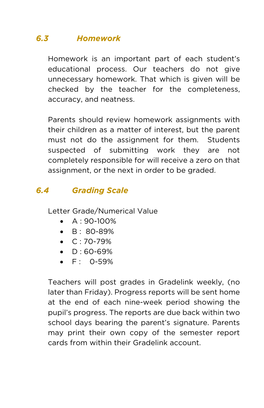### *6.3 Homework*

Homework is an important part of each student's educational process. Our teachers do not give unnecessary homework. That which is given will be checked by the teacher for the completeness, accuracy, and neatness.

Parents should review homework assignments with their children as a matter of interest, but the parent must not do the assignment for them. Students suspected of submitting work they are not completely responsible for will receive a zero on that assignment, or the next in order to be graded.

### *6.4 Grading Scale*

Letter Grade/Numerical Value

- A : 90-100%
- $\bullet$  B: 80-89%
- $\bullet$  C: 70-79%
- $\bullet$  D:60-69%
- $\bullet$  F: 0-59%

Teachers will post grades in Gradelink weekly, (no later than Friday). Progress reports will be sent home at the end of each nine-week period showing the pupil's progress. The reports are due back within two school days bearing the parent's signature. Parents may print their own copy of the semester report cards from within their Gradelink account.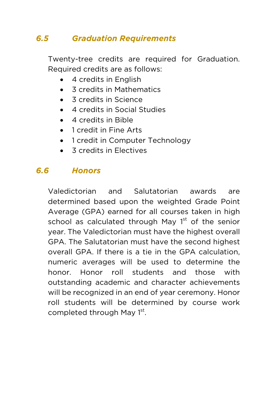## *6.5 Graduation Requirements*

Twenty-tree credits are required for Graduation. Required credits are as follows:

- 4 credits in English
- 3 credits in Mathematics
- 3 credits in Science
- 4 credits in Social Studies
- 4 credits in Bible
- 1 credit in Fine Arts
- 1 credit in Computer Technology
- 3 credits in Electives

## *6.6 Honors*

Valedictorian and Salutatorian awards are determined based upon the weighted Grade Point Average (GPA) earned for all courses taken in high school as calculated through May  $1<sup>st</sup>$  of the senior year. The Valedictorian must have the highest overall GPA. The Salutatorian must have the second highest overall GPA. If there is a tie in the GPA calculation, numeric averages will be used to determine the honor. Honor roll students and those with outstanding academic and character achievements will be recognized in an end of year ceremony. Honor roll students will be determined by course work completed through May 1<sup>st</sup>.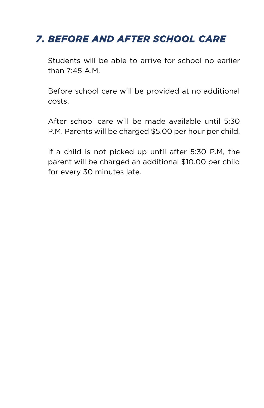## *7. BEFORE AND AFTER SCHOOL CARE*

Students will be able to arrive for school no earlier than 7:45 A.M.

Before school care will be provided at no additional costs.

After school care will be made available until 5:30 P.M. Parents will be charged \$5.00 per hour per child.

If a child is not picked up until after 5:30 P.M, the parent will be charged an additional \$10.00 per child for every 30 minutes late.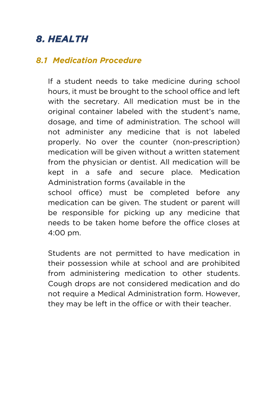## *8. HEALTH*

#### *8.1 Medication Procedure*

If a student needs to take medicine during school hours, it must be brought to the school office and left with the secretary. All medication must be in the original container labeled with the student's name, dosage, and time of administration. The school will not administer any medicine that is not labeled properly. No over the counter (non-prescription) medication will be given without a written statement from the physician or dentist. All medication will be kept in a safe and secure place. Medication Administration forms (available in the

school office) must be completed before any medication can be given. The student or parent will be responsible for picking up any medicine that needs to be taken home before the office closes at 4:00 pm.

Students are not permitted to have medication in their possession while at school and are prohibited from administering medication to other students. Cough drops are not considered medication and do not require a Medical Administration form. However, they may be left in the office or with their teacher.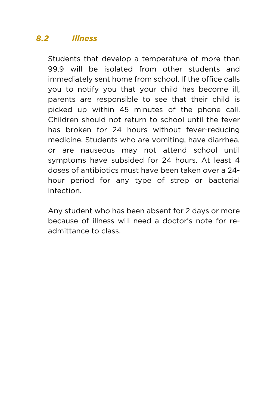## *8.2 Illness*

Students that develop a temperature of more than 99.9 will be isolated from other students and immediately sent home from school. If the office calls you to notify you that your child has become ill, parents are responsible to see that their child is picked up within 45 minutes of the phone call. Children should not return to school until the fever has broken for 24 hours without fever-reducing medicine. Students who are vomiting, have diarrhea, or are nauseous may not attend school until symptoms have subsided for 24 hours. At least 4 doses of antibiotics must have been taken over a 24 hour period for any type of strep or bacterial infection.

Any student who has been absent for 2 days or more because of illness will need a doctor's note for readmittance to class.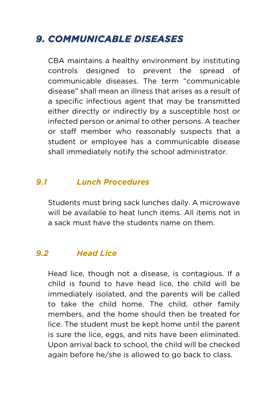## *9. COMMUNICABLE DISEASES*

CBA maintains a healthy environment by instituting controls designed to prevent the spread of communicable diseases. The term "communicable disease" shall mean an illness that arises as a result of a specific infectious agent that may be transmitted either directly or indirectly by a susceptible host or infected person or animal to other persons. A teacher or staff member who reasonably suspects that a student or employee has a communicable disease shall immediately notify the school administrator.

#### *9.1 Lunch Procedures*

Students must bring sack lunches daily. A microwave will be available to heat lunch items. All items not in a sack must have the students name on them.

#### *9.2 Head Lice*

Head lice, though not a disease, is contagious. If a child is found to have head lice, the child will be immediately isolated, and the parents will be called to take the child home. The child, other family members, and the home should then be treated for lice. The student must be kept home until the parent is sure the lice, eggs, and nits have been eliminated. Upon arrival back to school, the child will be checked again before he/she is allowed to go back to class.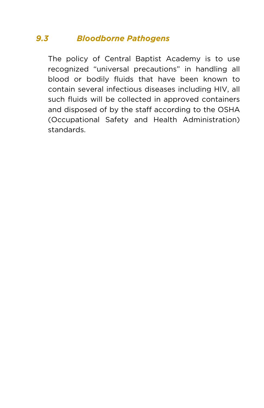## *9.3 Bloodborne Pathogens*

The policy of Central Baptist Academy is to use recognized "universal precautions" in handling all blood or bodily fluids that have been known to contain several infectious diseases including HIV, all such fluids will be collected in approved containers and disposed of by the staff according to the OSHA (Occupational Safety and Health Administration) standards.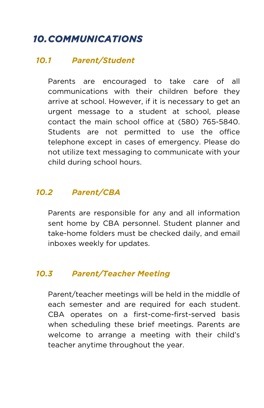## *10.COMMUNICATIONS*

#### *10.1 Parent/Student*

Parents are encouraged to take care of all communications with their children before they arrive at school. However, if it is necessary to get an urgent message to a student at school, please contact the main school office at (580) 765-5840. Students are not permitted to use the office telephone except in cases of emergency. Please do not utilize text messaging to communicate with your child during school hours.

#### *10.2 Parent/CBA*

Parents are responsible for any and all information sent home by CBA personnel. Student planner and take-home folders must be checked daily, and email inboxes weekly for updates.

#### *10.3 Parent/Teacher Meeting*

Parent/teacher meetings will be held in the middle of each semester and are required for each student. CBA operates on a first-come-first-served basis when scheduling these brief meetings. Parents are welcome to arrange a meeting with their child's teacher anytime throughout the year.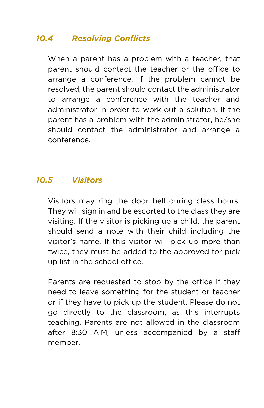### *10.4 Resolving Conflicts*

When a parent has a problem with a teacher, that parent should contact the teacher or the office to arrange a conference. If the problem cannot be resolved, the parent should contact the administrator to arrange a conference with the teacher and administrator in order to work out a solution. If the parent has a problem with the administrator, he/she should contact the administrator and arrange a conference.

#### *10.5 Visitors*

Visitors may ring the door bell during class hours. They will sign in and be escorted to the class they are visiting. If the visitor is picking up a child, the parent should send a note with their child including the visitor's name. If this visitor will pick up more than twice, they must be added to the approved for pick up list in the school office.

Parents are requested to stop by the office if they need to leave something for the student or teacher or if they have to pick up the student. Please do not go directly to the classroom, as this interrupts teaching. Parents are not allowed in the classroom after 8:30 A.M, unless accompanied by a staff member.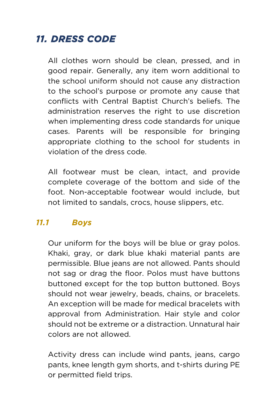## *11. DRESS CODE*

All clothes worn should be clean, pressed, and in good repair. Generally, any item worn additional to the school uniform should not cause any distraction to the school's purpose or promote any cause that conflicts with Central Baptist Church's beliefs. The administration reserves the right to use discretion when implementing dress code standards for unique cases. Parents will be responsible for bringing appropriate clothing to the school for students in violation of the dress code.

All footwear must be clean, intact, and provide complete coverage of the bottom and side of the foot. Non-acceptable footwear would include, but not limited to sandals, crocs, house slippers, etc.

#### *11.1 Boys*

Our uniform for the boys will be blue or gray polos. Khaki, gray, or dark blue khaki material pants are permissible. Blue jeans are not allowed. Pants should not sag or drag the floor. Polos must have buttons buttoned except for the top button buttoned. Boys should not wear jewelry, beads, chains, or bracelets. An exception will be made for medical bracelets with approval from Administration. Hair style and color should not be extreme or a distraction. Unnatural hair colors are not allowed.

Activity dress can include wind pants, jeans, cargo pants, knee length gym shorts, and t-shirts during PE or permitted field trips.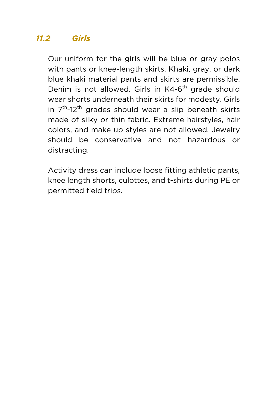## *11.2 Girls*

Our uniform for the girls will be blue or gray polos with pants or knee-length skirts. Khaki, gray, or dark blue khaki material pants and skirts are permissible. Denim is not allowed. Girls in K4-6<sup>th</sup> grade should wear shorts underneath their skirts for modesty. Girls in  $7<sup>th</sup>$ -12<sup>th</sup> grades should wear a slip beneath skirts made of silky or thin fabric. Extreme hairstyles, hair colors, and make up styles are not allowed. Jewelry should be conservative and not hazardous or distracting.

Activity dress can include loose fitting athletic pants, knee length shorts, culottes, and t-shirts during PE or permitted field trips.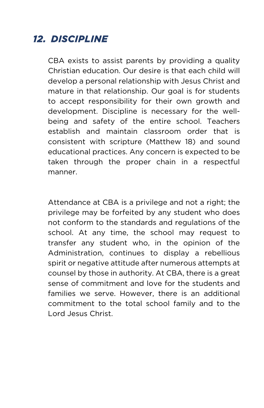## *12. DISCIPLINE*

CBA exists to assist parents by providing a quality Christian education. Our desire is that each child will develop a personal relationship with Jesus Christ and mature in that relationship. Our goal is for students to accept responsibility for their own growth and development. Discipline is necessary for the wellbeing and safety of the entire school. Teachers establish and maintain classroom order that is consistent with scripture (Matthew 18) and sound educational practices. Any concern is expected to be taken through the proper chain in a respectful manner.

Attendance at CBA is a privilege and not a right; the privilege may be forfeited by any student who does not conform to the standards and regulations of the school. At any time, the school may request to transfer any student who, in the opinion of the Administration, continues to display a rebellious spirit or negative attitude after numerous attempts at counsel by those in authority. At CBA, there is a great sense of commitment and love for the students and families we serve. However, there is an additional commitment to the total school family and to the Lord Jesus Christ.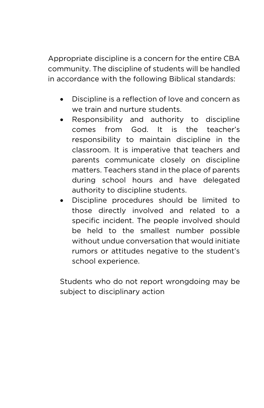Appropriate discipline is a concern for the entire CBA community. The discipline of students will be handled in accordance with the following Biblical standards:

- Discipline is a reflection of love and concern as we train and nurture students.
- Responsibility and authority to discipline comes from God. It is the teacher's responsibility to maintain discipline in the classroom. It is imperative that teachers and parents communicate closely on discipline matters. Teachers stand in the place of parents during school hours and have delegated authority to discipline students.
- Discipline procedures should be limited to those directly involved and related to a specific incident. The people involved should be held to the smallest number possible without undue conversation that would initiate rumors or attitudes negative to the student's school experience.

Students who do not report wrongdoing may be subject to disciplinary action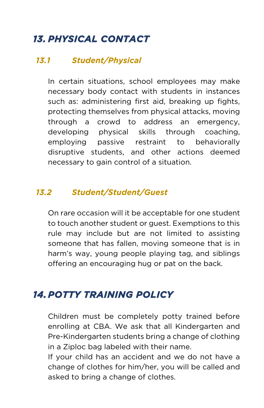## *13. PHYSICAL CONTACT*

#### *13.1 Student/Physical*

In certain situations, school employees may make necessary body contact with students in instances such as: administering first aid, breaking up fights, protecting themselves from physical attacks, moving through a crowd to address an emergency, developing physical skills through coaching, employing passive restraint to behaviorally disruptive students, and other actions deemed necessary to gain control of a situation.

#### *13.2 Student/Student/Guest*

On rare occasion will it be acceptable for one student to touch another student or guest. Exemptions to this rule may include but are not limited to assisting someone that has fallen, moving someone that is in harm's way, young people playing tag, and siblings offering an encouraging hug or pat on the back.

## *14.POTTY TRAINING POLICY*

Children must be completely potty trained before enrolling at CBA. We ask that all Kindergarten and Pre-Kindergarten students bring a change of clothing in a Ziploc bag labeled with their name.

If your child has an accident and we do not have a change of clothes for him/her, you will be called and asked to bring a change of clothes.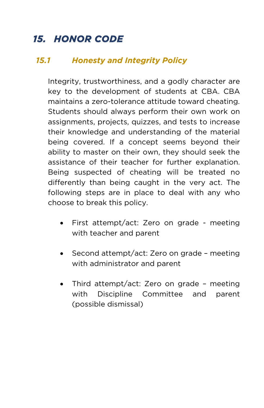## *15. HONOR CODE*

#### *15.1 Honesty and Integrity Policy*

Integrity, trustworthiness, and a godly character are key to the development of students at CBA. CBA maintains a zero-tolerance attitude toward cheating. Students should always perform their own work on assignments, projects, quizzes, and tests to increase their knowledge and understanding of the material being covered. If a concept seems beyond their ability to master on their own, they should seek the assistance of their teacher for further explanation. Being suspected of cheating will be treated no differently than being caught in the very act. The following steps are in place to deal with any who choose to break this policy.

- First attempt/act: Zero on grade meeting with teacher and parent
- Second attempt/act: Zero on grade meeting with administrator and parent
- Third attempt/act: Zero on grade meeting with Discipline Committee and parent (possible dismissal)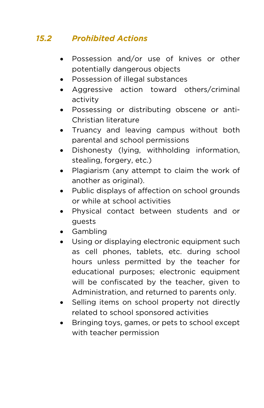## *15.2 Prohibited Actions*

- Possession and/or use of knives or other potentially dangerous objects
- Possession of illegal substances
- Aggressive action toward others/criminal activity
- Possessing or distributing obscene or anti-Christian literature
- Truancy and leaving campus without both parental and school permissions
- Dishonesty (lying, withholding information, stealing, forgery, etc.)
- Plagiarism (any attempt to claim the work of another as original).
- Public displays of affection on school grounds or while at school activities
- Physical contact between students and or guests
- Gambling
- Using or displaying electronic equipment such as cell phones, tablets, etc. during school hours unless permitted by the teacher for educational purposes; electronic equipment will be confiscated by the teacher, given to Administration, and returned to parents only.
- Selling items on school property not directly related to school sponsored activities
- Bringing toys, games, or pets to school except with teacher permission